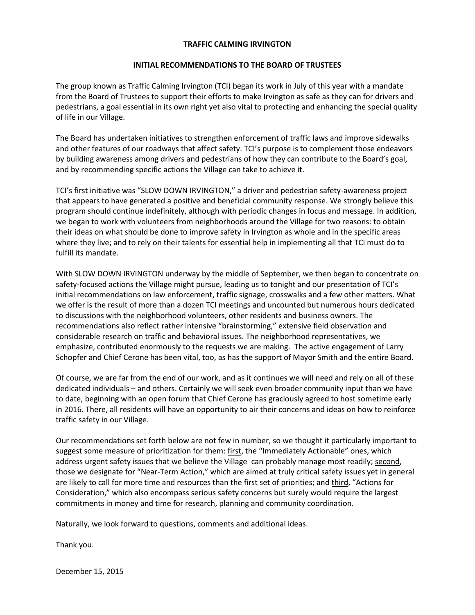## **TRAFFIC CALMING IRVINGTON**

#### **INITIAL RECOMMENDATIONS TO THE BOARD OF TRUSTEES**

The group known as Traffic Calming Irvington (TCI) began its work in July of this year with a mandate from the Board of Trustees to support their efforts to make Irvington as safe as they can for drivers and pedestrians, a goal essential in its own right yet also vital to protecting and enhancing the special quality of life in our Village.

The Board has undertaken initiatives to strengthen enforcement of traffic laws and improve sidewalks and other features of our roadways that affect safety. TCI's purpose is to complement those endeavors by building awareness among drivers and pedestrians of how they can contribute to the Board's goal, and by recommending specific actions the Village can take to achieve it.

TCI's first initiative was "SLOW DOWN IRVINGTON," a driver and pedestrian safety-awareness project that appears to have generated a positive and beneficial community response. We strongly believe this program should continue indefinitely, although with periodic changes in focus and message. In addition, we began to work with volunteers from neighborhoods around the Village for two reasons: to obtain their ideas on what should be done to improve safety in Irvington as whole and in the specific areas where they live; and to rely on their talents for essential help in implementing all that TCI must do to fulfill its mandate.

With SLOW DOWN IRVINGTON underway by the middle of September, we then began to concentrate on safety-focused actions the Village might pursue, leading us to tonight and our presentation of TCI's initial recommendations on law enforcement, traffic signage, crosswalks and a few other matters. What we offer is the result of more than a dozen TCI meetings and uncounted but numerous hours dedicated to discussions with the neighborhood volunteers, other residents and business owners. The recommendations also reflect rather intensive "brainstorming," extensive field observation and considerable research on traffic and behavioral issues. The neighborhood representatives, we emphasize, contributed enormously to the requests we are making. The active engagement of Larry Schopfer and Chief Cerone has been vital, too, as has the support of Mayor Smith and the entire Board.

Of course, we are far from the end of our work, and as it continues we will need and rely on all of these dedicated individuals – and others. Certainly we will seek even broader community input than we have to date, beginning with an open forum that Chief Cerone has graciously agreed to host sometime early in 2016. There, all residents will have an opportunity to air their concerns and ideas on how to reinforce traffic safety in our Village.

Our recommendations set forth below are not few in number, so we thought it particularly important to suggest some measure of prioritization for them: first, the "Immediately Actionable" ones, which address urgent safety issues that we believe the Village can probably manage most readily; second, those we designate for "Near-Term Action," which are aimed at truly critical safety issues yet in general are likely to call for more time and resources than the first set of priorities; and third, "Actions for Consideration," which also encompass serious safety concerns but surely would require the largest commitments in money and time for research, planning and community coordination.

Naturally, we look forward to questions, comments and additional ideas.

Thank you.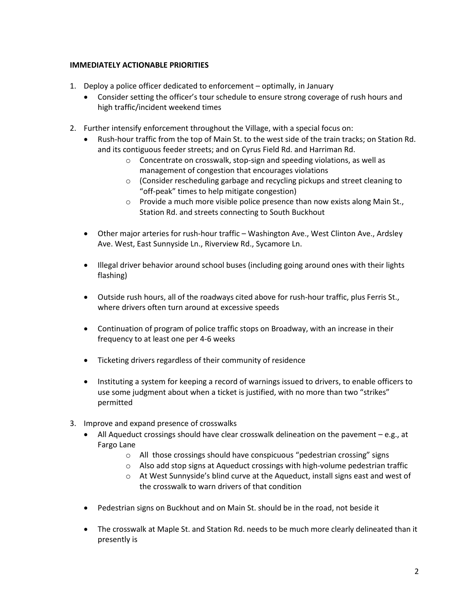# **IMMEDIATELY ACTIONABLE PRIORITIES**

- 1. Deploy a police officer dedicated to enforcement optimally, in January
	- Consider setting the officer's tour schedule to ensure strong coverage of rush hours and high traffic/incident weekend times
- 2. Further intensify enforcement throughout the Village, with a special focus on:
	- Rush-hour traffic from the top of Main St. to the west side of the train tracks; on Station Rd. and its contiguous feeder streets; and on Cyrus Field Rd. and Harriman Rd.
		- o Concentrate on crosswalk, stop-sign and speeding violations, as well as management of congestion that encourages violations
		- o (Consider rescheduling garbage and recycling pickups and street cleaning to "off-peak" times to help mitigate congestion)
		- $\circ$  Provide a much more visible police presence than now exists along Main St., Station Rd. and streets connecting to South Buckhout
	- Other major arteries for rush-hour traffic Washington Ave., West Clinton Ave., Ardsley Ave. West, East Sunnyside Ln., Riverview Rd., Sycamore Ln.
	- Illegal driver behavior around school buses (including going around ones with their lights flashing)
	- Outside rush hours, all of the roadways cited above for rush-hour traffic, plus Ferris St., where drivers often turn around at excessive speeds
	- Continuation of program of police traffic stops on Broadway, with an increase in their frequency to at least one per 4-6 weeks
	- Ticketing drivers regardless of their community of residence
	- Instituting a system for keeping a record of warnings issued to drivers, to enable officers to use some judgment about when a ticket is justified, with no more than two "strikes" permitted
- 3. Improve and expand presence of crosswalks
	- $\bullet$  All Aqueduct crossings should have clear crosswalk delineation on the pavement  $-e.g.,$  at Fargo Lane
		- o All those crossings should have conspicuous "pedestrian crossing" signs
		- o Also add stop signs at Aqueduct crossings with high-volume pedestrian traffic
		- o At West Sunnyside's blind curve at the Aqueduct, install signs east and west of the crosswalk to warn drivers of that condition
	- Pedestrian signs on Buckhout and on Main St. should be in the road, not beside it
	- The crosswalk at Maple St. and Station Rd. needs to be much more clearly delineated than it presently is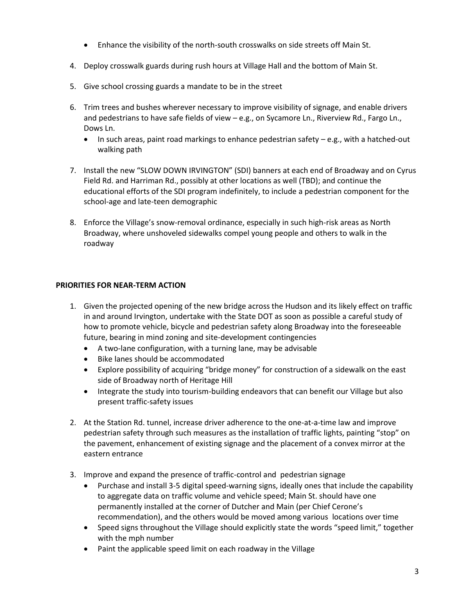- Enhance the visibility of the north-south crosswalks on side streets off Main St.
- 4. Deploy crosswalk guards during rush hours at Village Hall and the bottom of Main St.
- 5. Give school crossing guards a mandate to be in the street
- 6. Trim trees and bushes wherever necessary to improve visibility of signage, and enable drivers and pedestrians to have safe fields of view – e.g., on Sycamore Ln., Riverview Rd., Fargo Ln., Dows Ln.
	- In such areas, paint road markings to enhance pedestrian safety  $-e.g.,$  with a hatched-out walking path
- 7. Install the new "SLOW DOWN IRVINGTON" (SDI) banners at each end of Broadway and on Cyrus Field Rd. and Harriman Rd., possibly at other locations as well (TBD); and continue the educational efforts of the SDI program indefinitely, to include a pedestrian component for the school-age and late-teen demographic
- 8. Enforce the Village's snow-removal ordinance, especially in such high-risk areas as North Broadway, where unshoveled sidewalks compel young people and others to walk in the roadway

# **PRIORITIES FOR NEAR-TERM ACTION**

- 1. Given the projected opening of the new bridge across the Hudson and its likely effect on traffic in and around Irvington, undertake with the State DOT as soon as possible a careful study of how to promote vehicle, bicycle and pedestrian safety along Broadway into the foreseeable future, bearing in mind zoning and site-development contingencies
	- A two-lane configuration, with a turning lane, may be advisable
	- Bike lanes should be accommodated
	- Explore possibility of acquiring "bridge money" for construction of a sidewalk on the east side of Broadway north of Heritage Hill
	- Integrate the study into tourism-building endeavors that can benefit our Village but also present traffic-safety issues
- 2. At the Station Rd. tunnel, increase driver adherence to the one-at-a-time law and improve pedestrian safety through such measures as the installation of traffic lights, painting "stop" on the pavement, enhancement of existing signage and the placement of a convex mirror at the eastern entrance
- 3. Improve and expand the presence of traffic-control and pedestrian signage
	- Purchase and install 3-5 digital speed-warning signs, ideally ones that include the capability to aggregate data on traffic volume and vehicle speed; Main St. should have one permanently installed at the corner of Dutcher and Main (per Chief Cerone's recommendation), and the others would be moved among various locations over time
	- Speed signs throughout the Village should explicitly state the words "speed limit," together with the mph number
	- Paint the applicable speed limit on each roadway in the Village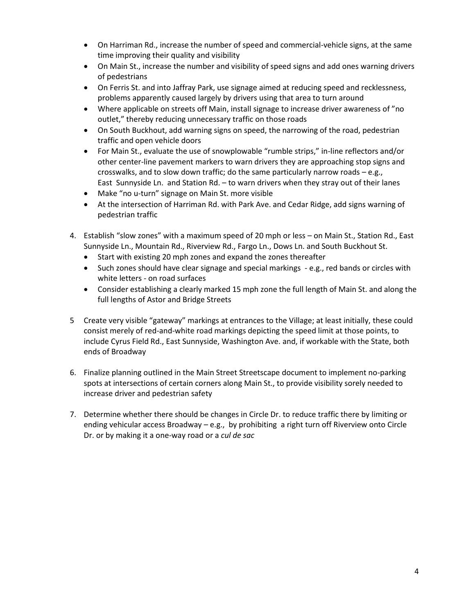- On Harriman Rd., increase the number of speed and commercial-vehicle signs, at the same time improving their quality and visibility
- On Main St., increase the number and visibility of speed signs and add ones warning drivers of pedestrians
- On Ferris St. and into Jaffray Park, use signage aimed at reducing speed and recklessness, problems apparently caused largely by drivers using that area to turn around
- Where applicable on streets off Main, install signage to increase driver awareness of "no outlet," thereby reducing unnecessary traffic on those roads
- On South Buckhout, add warning signs on speed, the narrowing of the road, pedestrian traffic and open vehicle doors
- For Main St., evaluate the use of snowplowable "rumble strips," in-line reflectors and/or other center-line pavement markers to warn drivers they are approaching stop signs and crosswalks, and to slow down traffic; do the same particularly narrow roads  $-e.g.,$ East Sunnyside Ln. and Station Rd. – to warn drivers when they stray out of their lanes
- Make "no u-turn" signage on Main St. more visible
- At the intersection of Harriman Rd. with Park Ave. and Cedar Ridge, add signs warning of pedestrian traffic
- 4. Establish "slow zones" with a maximum speed of 20 mph or less on Main St., Station Rd., East Sunnyside Ln., Mountain Rd., Riverview Rd., Fargo Ln., Dows Ln. and South Buckhout St.
	- Start with existing 20 mph zones and expand the zones thereafter
	- Such zones should have clear signage and special markings e.g., red bands or circles with white letters - on road surfaces
	- Consider establishing a clearly marked 15 mph zone the full length of Main St. and along the full lengths of Astor and Bridge Streets
- 5 Create very visible "gateway" markings at entrances to the Village; at least initially, these could consist merely of red-and-white road markings depicting the speed limit at those points, to include Cyrus Field Rd., East Sunnyside, Washington Ave. and, if workable with the State, both ends of Broadway
- 6. Finalize planning outlined in the Main Street Streetscape document to implement no-parking spots at intersections of certain corners along Main St., to provide visibility sorely needed to increase driver and pedestrian safety
- 7. Determine whether there should be changes in Circle Dr. to reduce traffic there by limiting or ending vehicular access Broadway – e.g., by prohibiting a right turn off Riverview onto Circle Dr. or by making it a one-way road or a *cul de sac*